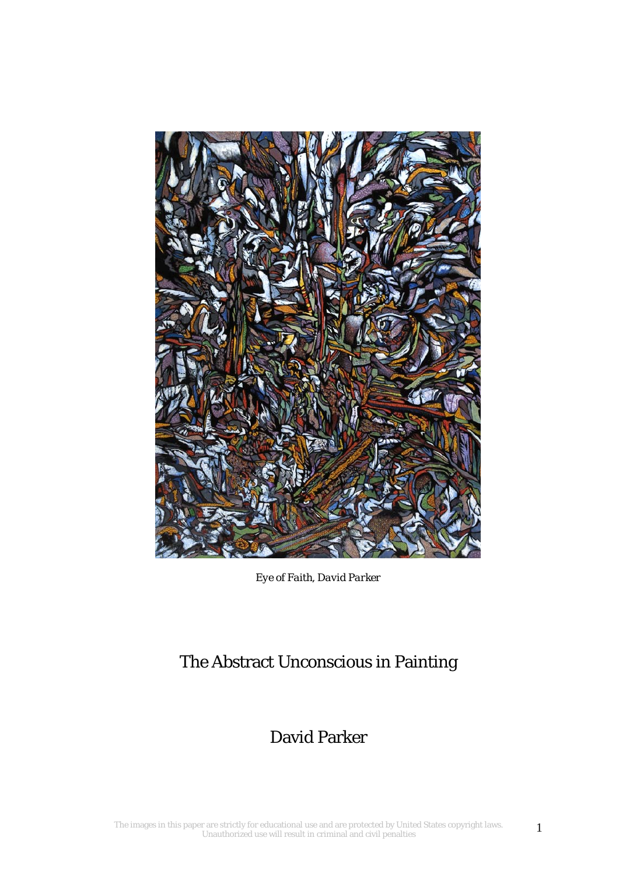

*Eye of Faith, David Parker*

# The Abstract Unconscious in Painting

## David Parker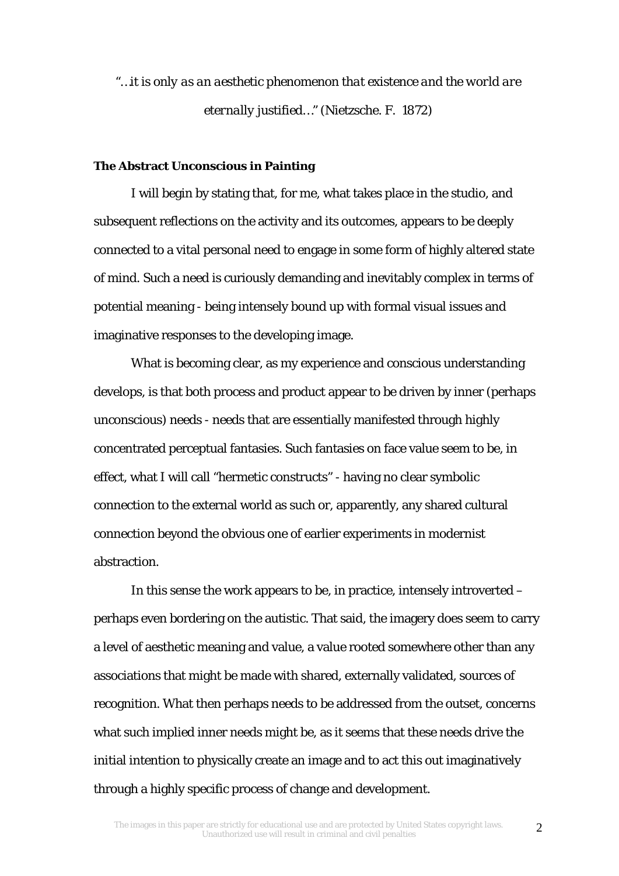*"…it is only as an aesthetic phenomenon that existence and the world are eternally justified…"* (Nietzsche. F. 1872)

#### **The Abstract Unconscious in Painting**

I will begin by stating that, for me, what takes place in the studio, and subsequent reflections on the activity and its outcomes, appears to be deeply connected to a vital personal need to engage in some form of highly altered state of mind. Such a need is curiously demanding and inevitably complex in terms of potential meaning - being intensely bound up with formal visual issues and imaginative responses to the developing image.

What is becoming clear, as my experience and conscious understanding develops, is that both process and product appear to be driven by inner (perhaps unconscious) needs - needs that are essentially manifested through highly concentrated perceptual fantasies. Such fantasies on face value seem to be, in effect, what I will call "hermetic constructs" - having no clear symbolic connection to the external world as such or, apparently, any shared cultural connection beyond the obvious one of earlier experiments in modernist abstraction.

In this sense the work appears to be, in practice, intensely introverted – perhaps even bordering on the autistic. That said, the imagery does seem to carry a level of aesthetic meaning and value, a value rooted somewhere other than any associations that might be made with shared, externally validated, sources of recognition. What then perhaps needs to be addressed from the outset, concerns what such implied inner needs might be, as it seems that these needs drive the initial intention to physically create an image and to act this out imaginatively through a highly specific process of change and development.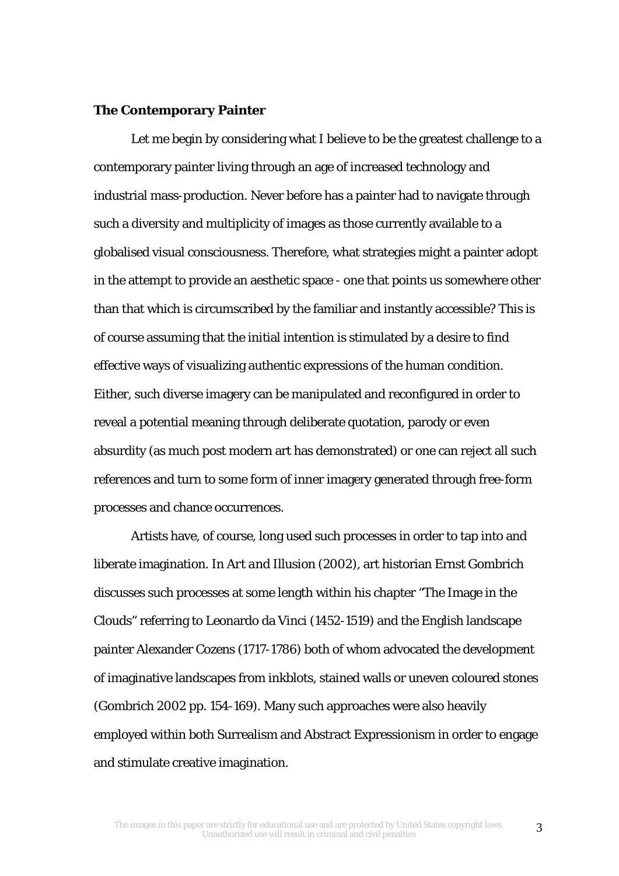#### **The Contemporary Painter**

Let me begin by considering what I believe to be the greatest challenge to a contemporary painter living through an age of increased technology and industrial mass-production. Never before has a painter had to navigate through such a diversity and multiplicity of images as those currently available to a globalised visual consciousness. Therefore, what strategies might a painter adopt in the attempt to provide an aesthetic space - one that points us somewhere other than that which is circumscribed by the familiar and instantly accessible? This is of course assuming that the initial intention is stimulated by a desire to find effective ways of visualizing authentic expressions of the human condition. Either, such diverse imagery can be manipulated and reconfigured in order to reveal a potential meaning through deliberate quotation, parody or even absurdity (as much post modern art has demonstrated) or one can reject all such references and turn to some form of inner imagery generated through free-form processes and chance occurrences.

Artists have, of course, long used such processes in order to tap into and liberate imagination. In *Art and Illusion* (2002), art historian Ernst Gombrich discusses such processes at some length within his chapter "The Image in the Clouds" referring to Leonardo da Vinci (1452-1519) and the English landscape painter Alexander Cozens (1717-1786) both of whom advocated the development of imaginative landscapes from inkblots, stained walls or uneven coloured stones (Gombrich 2002 pp. 154-169). Many such approaches were also heavily employed within both Surrealism and Abstract Expressionism in order to engage and stimulate creative imagination.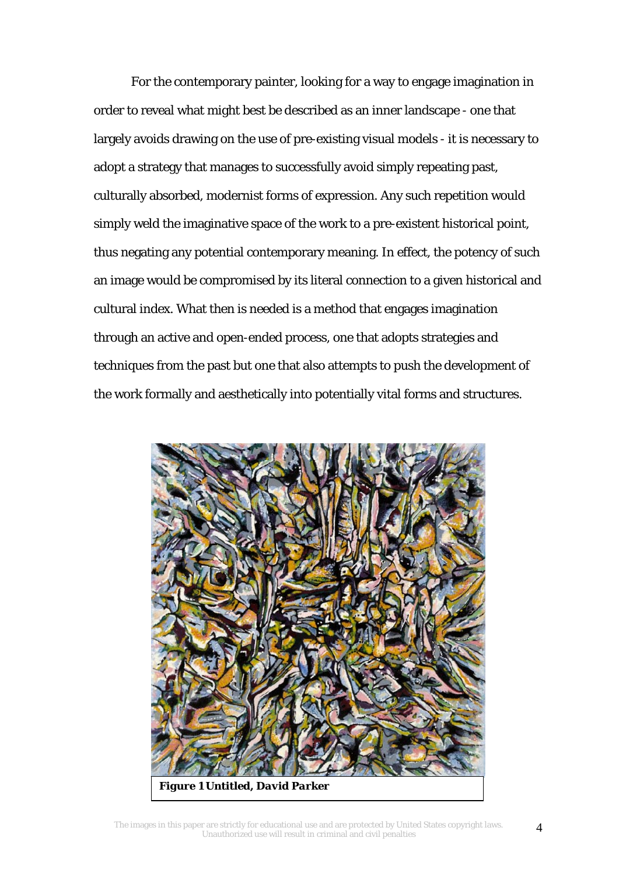For the contemporary painter, looking for a way to engage imagination in order to reveal what might best be described as an inner landscape - one that largely avoids drawing on the use of pre-existing visual models - it is necessary to adopt a strategy that manages to successfully avoid simply repeating past, culturally absorbed, modernist forms of expression. Any such repetition would simply weld the imaginative space of the work to a pre-existent historical point, thus negating any potential contemporary meaning. In effect, the potency of such an image would be compromised by its literal connection to a given historical and cultural index. What then is needed is a method that engages imagination through an active and open-ended process, one that adopts strategies and techniques from the past but one that also attempts to push the development of the work formally and aesthetically into potentially vital forms and structures.



The images in this paper are strictly for educational use and are protected by United States copyright laws. Unauthorized use will result in criminal and civil penalties 4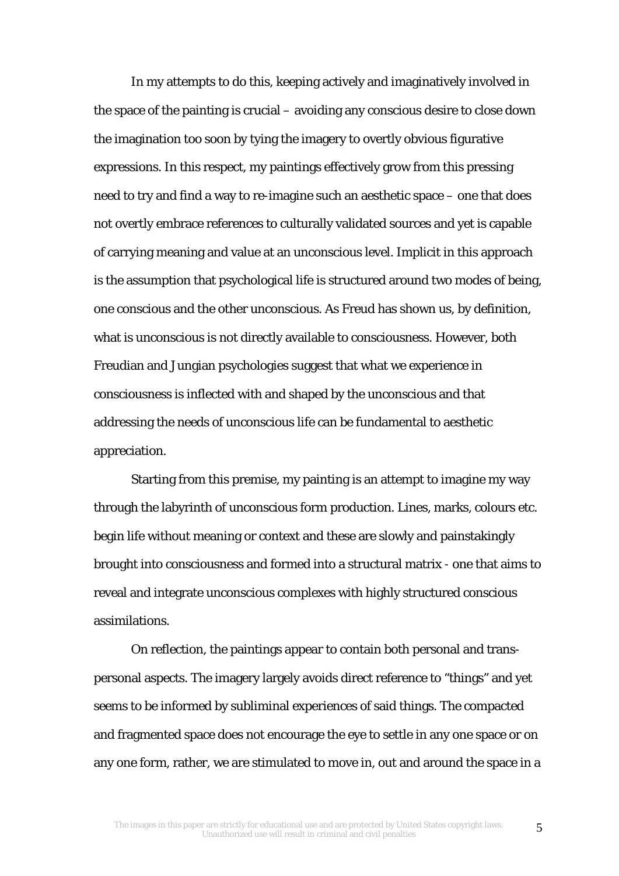In my attempts to do this, keeping actively and imaginatively involved in the space of the painting is crucial – avoiding any conscious desire to close down the imagination too soon by tying the imagery to overtly obvious figurative expressions. In this respect, my paintings effectively grow from this pressing need to try and find a way to re-imagine such an aesthetic space – one that does not overtly embrace references to culturally validated sources and yet is capable of carrying meaning and value at an unconscious level. Implicit in this approach is the assumption that psychological life is structured around two modes of being, one conscious and the other unconscious. As Freud has shown us, by definition, what is unconscious is not directly available to consciousness. However, both Freudian and Jungian psychologies suggest that what we experience in consciousness is inflected with and shaped by the unconscious and that addressing the needs of unconscious life can be fundamental to aesthetic appreciation.

Starting from this premise, my painting is an attempt to imagine my way through the labyrinth of unconscious form production. Lines, marks, colours etc. begin life without meaning or context and these are slowly and painstakingly brought into consciousness and formed into a structural matrix - one that aims to reveal and integrate unconscious complexes with highly structured conscious assimilations.

On reflection, the paintings appear to contain both personal and transpersonal aspects. The imagery largely avoids direct reference to "things" and yet seems to be informed by subliminal experiences of said things. The compacted and fragmented space does not encourage the eye to settle in any one space or on any one form, rather, we are stimulated to move in, out and around the space in a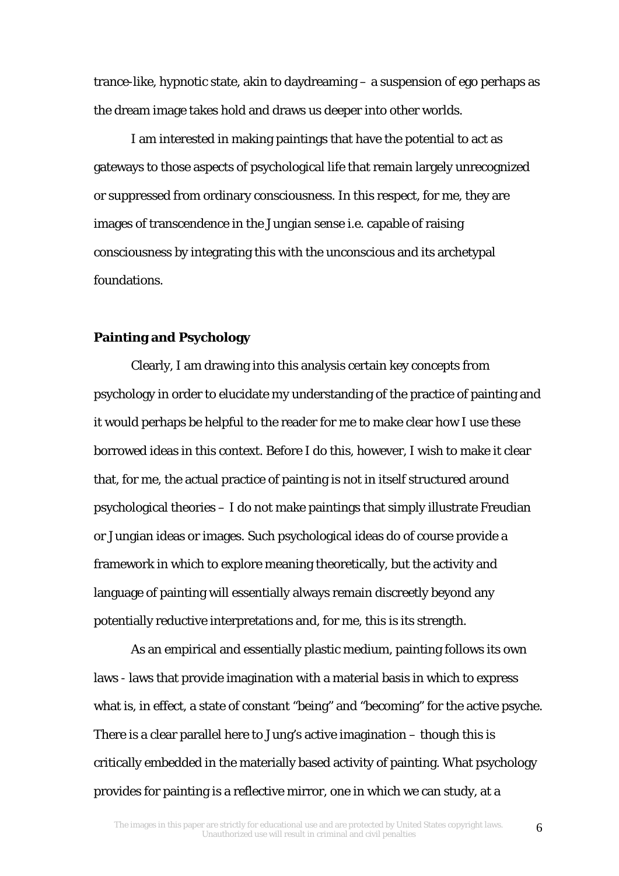trance-like, hypnotic state, akin to daydreaming – a suspension of ego perhaps as the dream image takes hold and draws us deeper into other worlds.

I am interested in making paintings that have the potential to act as gateways to those aspects of psychological life that remain largely unrecognized or suppressed from ordinary consciousness. In this respect, for me, they are images of transcendence in the Jungian sense i.e. capable of raising consciousness by integrating this with the unconscious and its archetypal foundations.

## **Painting and Psychology**

Clearly, I am drawing into this analysis certain key concepts from psychology in order to elucidate my understanding of the practice of painting and it would perhaps be helpful to the reader for me to make clear how I use these borrowed ideas in this context. Before I do this, however, I wish to make it clear that, for me, the actual practice of painting is not in itself structured around psychological theories – I do not make paintings that simply illustrate Freudian or Jungian ideas or images. Such psychological ideas do of course provide a framework in which to explore meaning theoretically, but the activity and language of painting will essentially always remain discreetly beyond any potentially reductive interpretations and, for me, this is its strength.

As an empirical and essentially plastic medium, painting follows its own laws - laws that provide imagination with a material basis in which to express what is, in effect, a state of constant "being" and "becoming" for the active psyche. There is a clear parallel here to Jung's active imagination – though this is critically embedded in the materially based activity of painting. What psychology provides for painting is a reflective mirror, one in which we can study, at a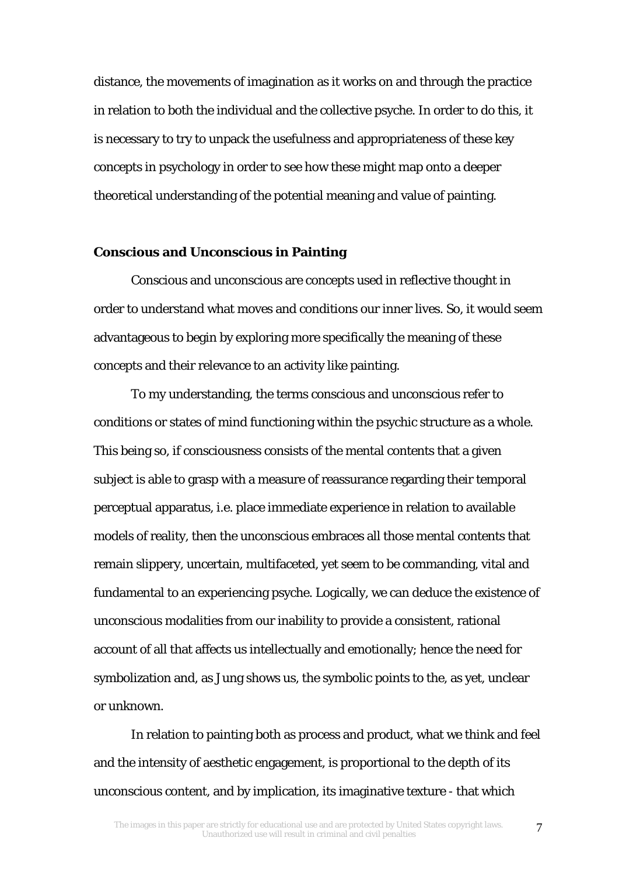distance, the movements of imagination as it works on and through the practice in relation to both the individual and the collective psyche. In order to do this, it is necessary to try to unpack the usefulness and appropriateness of these key concepts in psychology in order to see how these might map onto a deeper theoretical understanding of the potential meaning and value of painting.

## **Conscious and Unconscious in Painting**

*Conscious* and *unconscious* are concepts used in reflective thought in order to understand what moves and conditions our inner lives. So, it would seem advantageous to begin by exploring more specifically the meaning of these concepts and their relevance to an activity like painting.

To my understanding, the terms *conscious* and *unconscious* refer to conditions or states of mind functioning within the psychic structure as a whole. This being so, if consciousness consists of the mental contents that a given subject is able to grasp with a measure of reassurance regarding their temporal perceptual apparatus, i.e. place immediate experience in relation to available models of reality, then the unconscious embraces all those mental contents that remain slippery, uncertain, multifaceted, yet seem to be commanding, vital and fundamental to an experiencing psyche. Logically, we can deduce the existence of unconscious modalities from our inability to provide a consistent, rational account of all that affects us intellectually and emotionally; hence the need for symbolization and, as Jung shows us, the symbolic points to the, as yet, unclear or unknown.

In relation to painting both as process and product, what we think and feel and the intensity of aesthetic engagement, is proportional to the depth of its unconscious content, and by implication, its imaginative texture - that which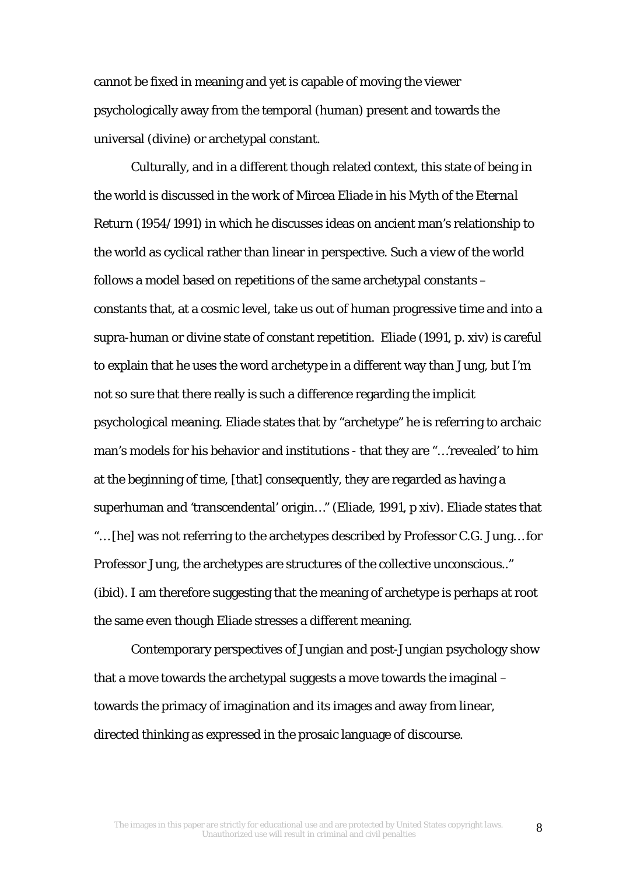cannot be fixed in meaning and yet is capable of moving the viewer psychologically away from the temporal (human) present and towards the universal (divine) or archetypal constant.

Culturally, and in a different though related context, this state of being in the world is discussed in the work of Mircea Eliade in his *Myth of the Eternal Return* (1954/1991) in which he discusses ideas on ancient man's relationship to the world as cyclical rather than linear in perspective. Such a view of the world follows a model based on repetitions of the same archetypal constants – constants that, at a cosmic level, take us out of human progressive time and into a supra-human or divine state of constant repetition. Eliade (1991, p. xiv) is careful to explain that he uses the word *archetype* in a different way than Jung, but I'm not so sure that there really is such a difference regarding the implicit psychological meaning. Eliade states that by "archetype" he is referring to archaic man's models for his behavior and institutions - that they are "…'revealed' to him at the beginning of time, [that] consequently, they are regarded as having a superhuman and 'transcendental' origin…" (Eliade, 1991, p xiv). Eliade states that "… [he] was not referring to the archetypes described by Professor C.G. Jung… for Professor Jung, the archetypes are structures of the collective unconscious.." (ibid). I am therefore suggesting that the meaning of archetype is perhaps at root the same even though Eliade stresses a different meaning.

Contemporary perspectives of Jungian and post-Jungian psychology show that a move towards the archetypal suggests a move towards the imaginal – towards the primacy of imagination and its images and away from linear, directed thinking as expressed in the prosaic language of discourse.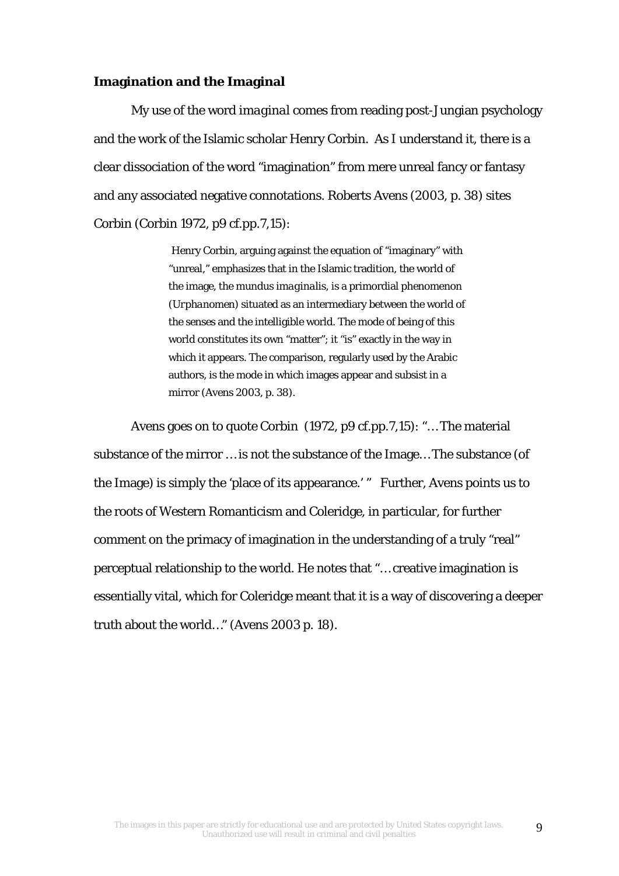#### **Imagination and the Imaginal**

My use of the word *imaginal* comes from reading post-Jungian psychology and the work of the Islamic scholar Henry Corbin. As I understand it, there is a clear dissociation of the word "imagination" from mere unreal fancy or fantasy and any associated negative connotations. Roberts Avens (2003, p. 38) sites Corbin (Corbin 1972, p9 cf.pp.7,15):

> Henry Corbin, arguing against the equation of "imaginary" with "unreal," emphasizes that in the Islamic tradition, the world of the image, the *mundus imaginalis,* is a primordial phenomenon *(Urphanomen)* situated as an intermediary between the world of the senses and the intelligible world. The mode of being of this world constitutes its own "matter"; it "is" exactly in the way in which it appears. The comparison, regularly used by the Arabic authors, is the mode in which images appear and subsist in a mirror (Avens 2003, p. 38).

Avens goes on to quote Corbin (1972, p9 cf.pp.7,15): "… The material substance of the mirror … is not the substance of the Image… The substance (of the Image) is simply the 'place of its appearance.' " Further, Avens points us to the roots of Western Romanticism and Coleridge, in particular, for further comment on the primacy of imagination in the understanding of a truly "real" perceptual relationship to the world. He notes that "… creative imagination is essentially vital, which for Coleridge meant that it is a way of discovering a deeper truth about the world…" (Avens 2003 p. 18*).*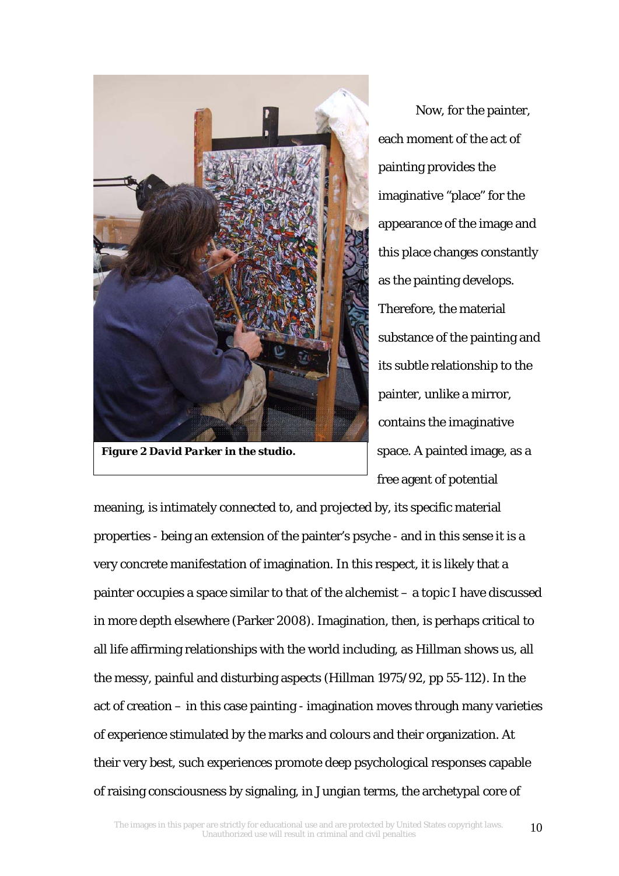

*Figure 2 David Parker in the studio.*

Now, for the painter, each moment of the act of painting provides the imaginative "place" for the appearance of the image and this place changes constantly as the painting develops. Therefore, the material substance of the painting and its subtle relationship to the painter, unlike a mirror, contains the imaginative space. A painted image, as a free agent of potential

meaning, is intimately connected to, and projected by, its specific material properties - being an extension of the painter's psyche - and in this sense it is a very concrete manifestation of imagination. In this respect, it is likely that a painter occupies a space similar to that of the alchemist – a topic I have discussed in more depth elsewhere (Parker 2008). Imagination, then, is perhaps critical to all life affirming relationships with the world including, as Hillman shows us, all the messy, painful and disturbing aspects (Hillman 1975/92, pp 55-112). In the act of creation – in this case painting - imagination moves through many varieties of experience stimulated by the marks and colours and their organization. At their very best, such experiences promote deep psychological responses capable of raising consciousness by signaling, in Jungian terms, the archetypal core of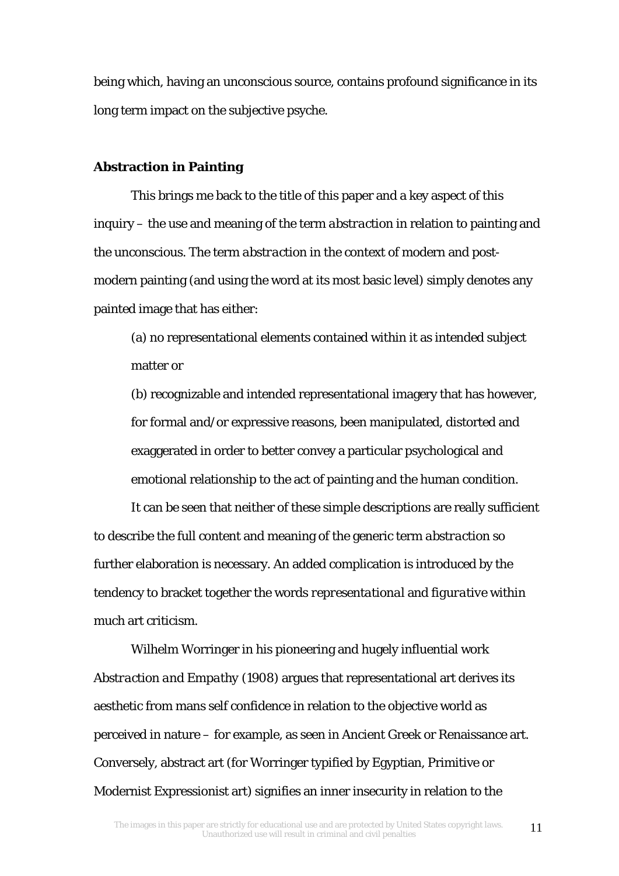being which, having an unconscious source, contains profound significance in its long term impact on the subjective psyche.

## **Abstraction in Painting**

This brings me back to the title of this paper and a key aspect of this inquiry – the use and meaning of the term *abstraction* in relation to painting and the unconscious. The term *abstraction* in the context of modern and postmodern painting (and using the word at its most basic level) simply denotes any painted image that has either:

(a) no representational elements contained within it as intended subject matter or

(b) recognizable and intended representational imagery that has however, for formal and/or expressive reasons, been manipulated, distorted and exaggerated in order to better convey a particular psychological and emotional relationship to the act of painting and the human condition.

It can be seen that neither of these simple descriptions are really sufficient to describe the full content and meaning of the generic term *abstraction* so further elaboration is necessary. An added complication is introduced by the tendency to bracket together the words *representational* and *figurative* within much art criticism.

Wilhelm Worringer in his pioneering and hugely influential work *Abstraction and Empathy* (1908) argues that representational art derives its aesthetic from mans self confidence in relation to the objective world as perceived in nature – for example, as seen in Ancient Greek or Renaissance art. Conversely, abstract art (for Worringer typified by Egyptian, Primitive or Modernist Expressionist art) signifies an inner insecurity in relation to the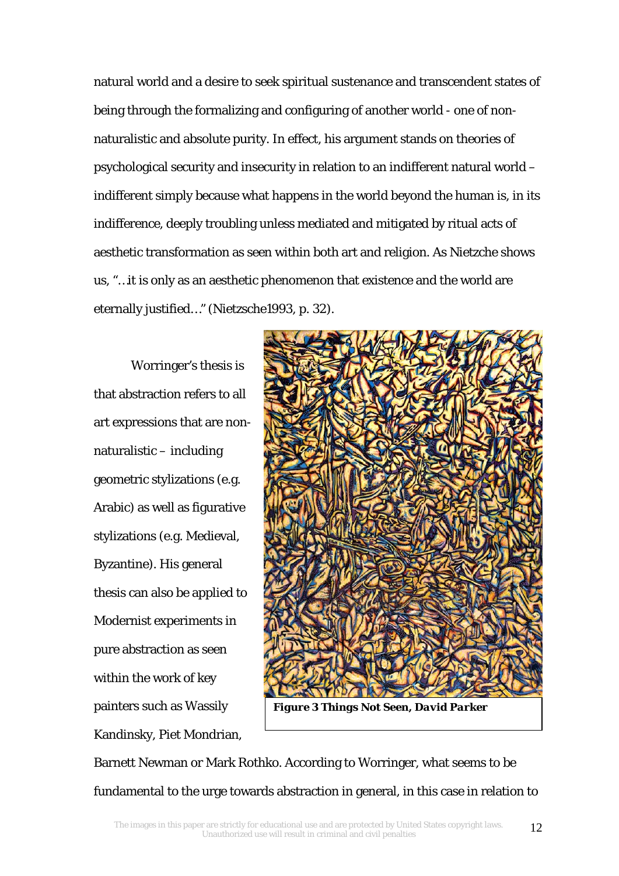natural world and a desire to seek spiritual sustenance and transcendent states of being through the formalizing and configuring of another world - one of nonnaturalistic and absolute purity. In effect, his argument stands on theories of psychological security and insecurity in relation to an indifferent natural world – indifferent simply because what happens in the world beyond the human is, in its indifference, deeply troubling unless mediated and mitigated by ritual acts of aesthetic transformation as seen within both art and religion. As Nietzche shows us, "*…*it is only as an aesthetic phenomenon that existence and the world are eternally justified*…"* (Nietzsche1993, p. 32).

Worringer's thesis is that abstraction refers to all art expressions that are nonnaturalistic – including geometric stylizations (e.g. Arabic) as well as figurative stylizations (e.g. Medieval, Byzantine). His general thesis can also be applied to Modernist experiments in pure abstraction as seen within the work of key painters such as Wassily Kandinsky, Piet Mondrian,



*Figure 3 Things Not Seen, David Parker*

Barnett Newman or Mark Rothko. According to Worringer, what seems to be fundamental to the urge towards abstraction in general, in this case in relation to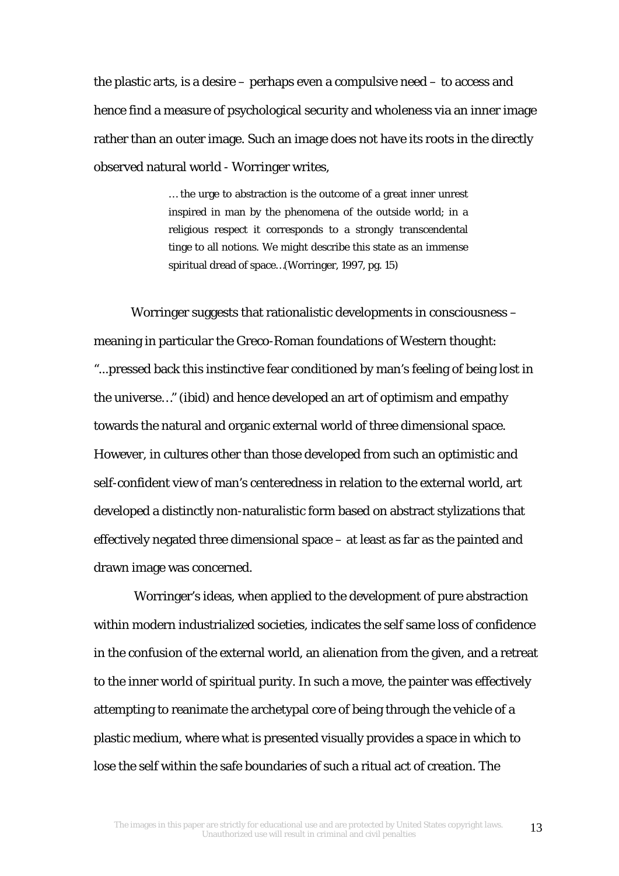the plastic arts, is a desire – perhaps even a compulsive need – to access and hence find a measure of psychological security and wholeness via an inner image rather than an outer image. Such an image does not have its roots in the directly observed natural world - Worringer writes,

> … the urge to abstraction is the outcome of a great inner unrest inspired in man by the phenomena of the outside world; in a religious respect it corresponds to a strongly transcendental tinge to all notions. We might describe this state as an immense spiritual dread of space…(Worringer, 1997, pg. 15)

Worringer suggests that rationalistic developments in consciousness – meaning in particular the Greco-Roman foundations of Western thought: *"...*pressed back this instinctive fear conditioned by man's feeling of being lost in the universe*…" (ibid)* and hence developed an art of optimism and empathy towards the natural and organic external world of three dimensional space. However, in cultures other than those developed from such an optimistic and self-confident view of man's centeredness in relation to the external world, art developed a distinctly non-naturalistic form based on abstract stylizations that effectively negated three dimensional space – at least as far as the painted and drawn image was concerned.

 Worringer's ideas, when applied to the development of pure abstraction within modern industrialized societies, indicates the self same loss of confidence in the confusion of the external world, an alienation from the given, and a retreat to the inner world of spiritual purity. In such a move, the painter was effectively attempting to reanimate the archetypal core of being through the vehicle of a plastic medium, where what is presented visually provides a space in which to lose the self within the safe boundaries of such a ritual act of creation. The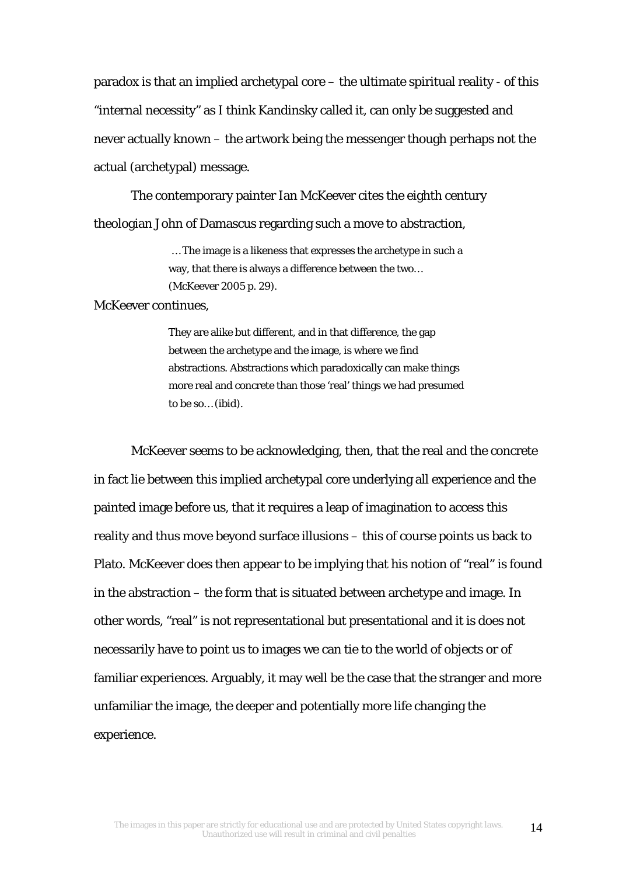paradox is that an implied archetypal core – the ultimate spiritual reality - of this "internal necessity" as I think Kandinsky called it, can only be suggested and never actually known – the artwork being the messenger though perhaps not the actual (archetypal) message.

The contemporary painter Ian McKeever cites the eighth century theologian John of Damascus regarding such a move to abstraction,

> *…* The image is a likeness that expresses the archetype in such a way, that there is always a difference between the two… (McKeever 2005 p. 29).

## McKeever continues,

They are alike but different, and in that difference, the gap between the archetype and the image, is where we find abstractions. Abstractions which paradoxically can make things more real and concrete than those 'real' things we had presumed to be so… (ibid).

McKeever seems to be acknowledging, then, that the real and the concrete in fact lie between this implied archetypal core underlying all experience and the painted image before us, that it requires a leap of imagination to access this reality and thus move beyond surface illusions – this of course points us back to Plato. McKeever does then appear to be implying that his notion of "real" is found in the abstraction – the form that is situated between archetype and image. In other words, "real" is not representational but presentational and it is does not necessarily have to point us to images we can tie to the world of objects or of familiar experiences. Arguably, it may well be the case that the stranger and more unfamiliar the image, the deeper and potentially more life changing the experience.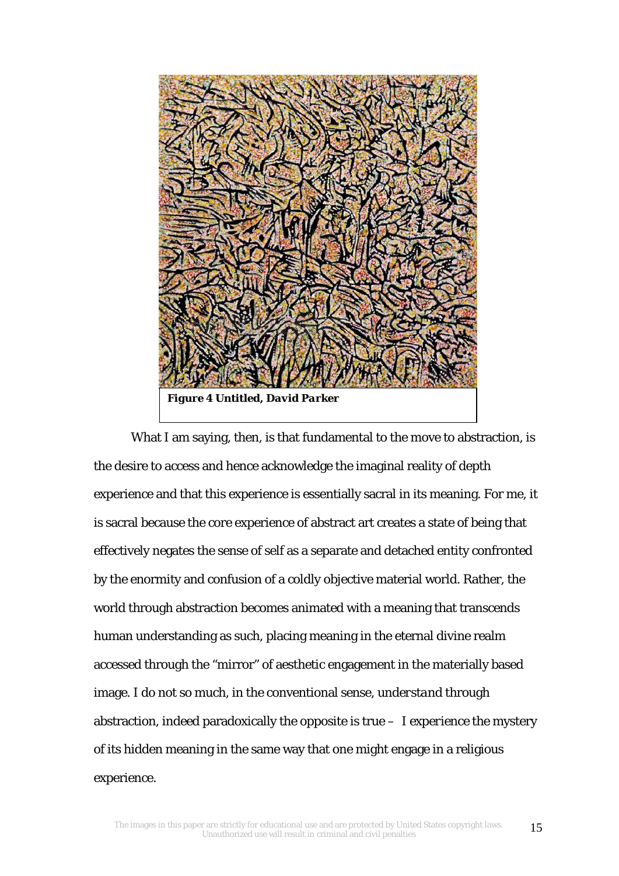

What I am saying, then, is that fundamental to the move to abstraction, is the desire to access and hence acknowledge the imaginal reality of depth experience and that this experience is essentially sacral in its meaning. For me, it is sacral because the core experience of abstract art creates a state of being that effectively negates the sense of self as a separate and detached entity confronted by the enormity and confusion of a coldly objective material world. Rather, the world through abstraction becomes animated with a meaning that transcends human understanding as such, placing meaning in the eternal divine realm accessed through the "mirror" of aesthetic engagement in the materially based image. I do not so much, in the conventional sense, *understand* through abstraction, indeed paradoxically the opposite is true – I *experience* the mystery of its hidden meaning in the same way that one might engage in a religious experience.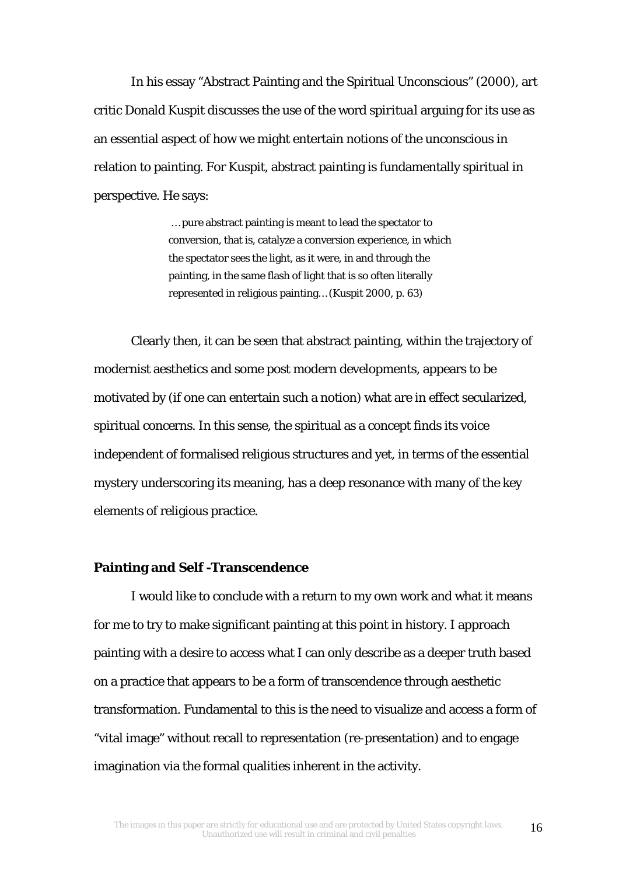In his essay "Abstract Painting and the Spiritual Unconscious" (2000), art critic Donald Kuspit discusses the use of the word *spiritual* arguing for its use as an essential aspect of how we might entertain notions of the unconscious in relation to painting. For Kuspit, abstract painting is fundamentally spiritual in perspective. He says:

> … pure abstract painting is meant to lead the spectator to conversion, that is, catalyze a conversion experience, in which the spectator sees the light, as it were, in and through the painting, in the same flash of light that is so often literally represented in religious painting… (Kuspit 2000, p. 63)

Clearly then, it can be seen that abstract painting, within the trajectory of modernist aesthetics and some post modern developments, appears to be motivated by (if one can entertain such a notion) what are in effect secularized, spiritual concerns. In this sense, the spiritual as a concept finds its voice independent of formalised religious structures and yet, in terms of the essential mystery underscoring its meaning, has a deep resonance with many of the key elements of religious practice.

## **Painting and Self -Transcendence**

I would like to conclude with a return to my own work and what it means for me to try to make significant painting at this point in history. I approach painting with a desire to access what I can only describe as a deeper truth based on a practice that appears to be a form of transcendence through aesthetic transformation. Fundamental to this is the need to visualize and access a form of "vital image" without recall to representation (re-presentation) and to engage imagination via the formal qualities inherent in the activity.